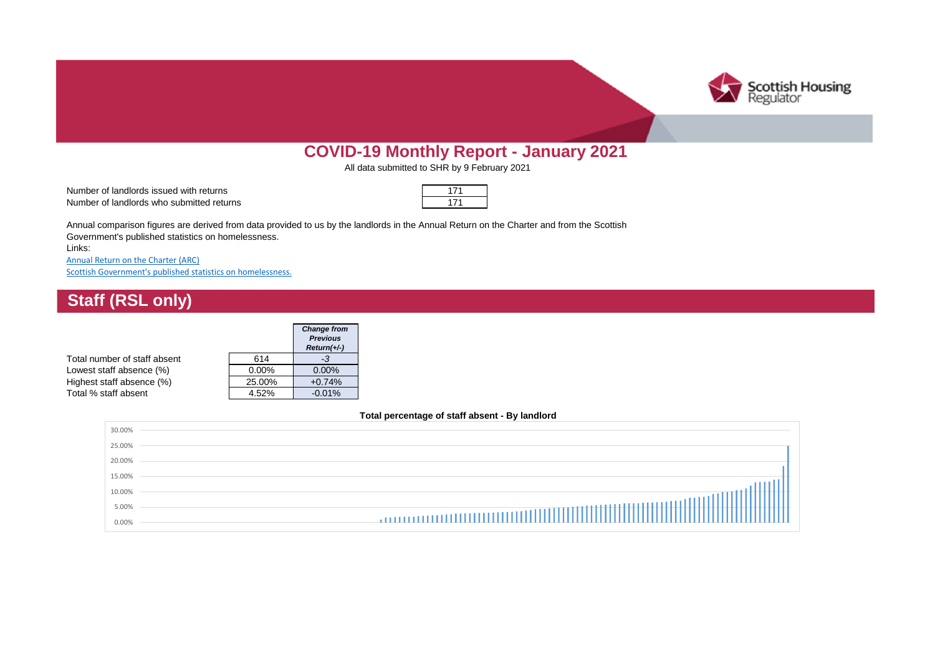

# **COVID-19 Monthly Report - January 2021**

All data submitted to SHR by 9 February 2021

Number of landlords issued with returns Number of landlords who submitted returns

Links: Annual comparison figures are derived from data provided to us by the landlords in the Annual Return on the Charter and from the Scottish Government's published statistics on homelessness.

[Annual Return on the Charter \(ARC\)](https://www.housingregulator.gov.scot/landlord-performance/statistical-information) [Scottish Government's published statistics on homelessness.](https://www.gov.scot/publications/homelessness-scotland-update-30-september-2019/)

## **Staff (RSL only)**

|                              |          | <b>Change from</b><br><b>Previous</b><br>$Return(+/-)$ |
|------------------------------|----------|--------------------------------------------------------|
| Total number of staff absent | 614      | -3                                                     |
| Lowest staff absence (%)     | $0.00\%$ | $0.00\%$                                               |
| Highest staff absence (%)    | 25.00%   | $+0.74%$                                               |
| Total % staff absent         | 4.52%    | $-0.01%$                                               |

#### **Total percentage of staff absent - By landlord**

| 30.00% |                                                                                                                                                                                                                                      |
|--------|--------------------------------------------------------------------------------------------------------------------------------------------------------------------------------------------------------------------------------------|
| 25.00% |                                                                                                                                                                                                                                      |
| 20.00% |                                                                                                                                                                                                                                      |
| 15.00% |                                                                                                                                                                                                                                      |
| 10.00% |                                                                                                                                                                                                                                      |
| 5.00%  | <b>Communication in the control of the control of the control of the control of the control of the control of the control of the control of the control of the control of the control of the control of the control of the contr</b> |
| 0.00%  |                                                                                                                                                                                                                                      |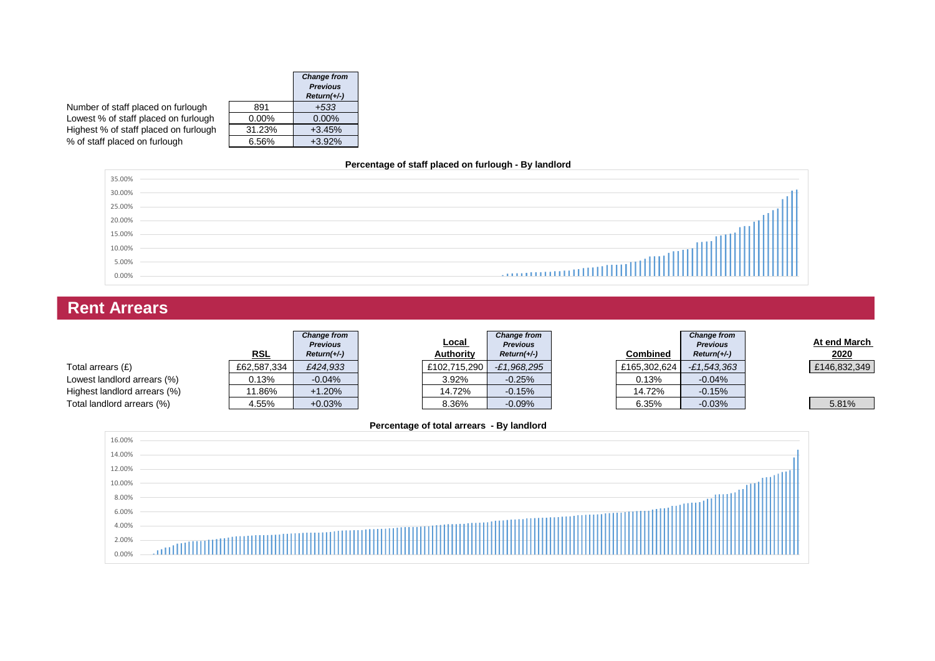|                                       |          | <b>Change from</b><br><b>Previous</b><br>$Return(+/-)$ |
|---------------------------------------|----------|--------------------------------------------------------|
| Number of staff placed on furlough    | 891      | $+533$                                                 |
| Lowest % of staff placed on furlough  | $0.00\%$ | $0.00\%$                                               |
| Highest % of staff placed on furlough | 31.23%   | $+3.45%$                                               |
| % of staff placed on furlough         | 6.56%    | $+3.92%$                                               |

#### **Percentage of staff placed on furlough - By landlord**



# **Rent Arrears**

|                              | <u>RSL</u>  | <b>Change from</b><br><b>Previous</b><br>$Return(+/-)$ | <u>Local</u><br><b>Authority</b> | <b>Change from</b><br><b>Previous</b><br>$Return(+/-)$ | <b>Combined</b> | <b>Change from</b><br><b>Previous</b><br>$Return(+/-)$ | At end March<br>2020 |
|------------------------------|-------------|--------------------------------------------------------|----------------------------------|--------------------------------------------------------|-----------------|--------------------------------------------------------|----------------------|
| Total arrears $(E)$          | £62,587,334 | £424,933                                               | £102,715,290                     | $-E1,968,295$                                          | £165,302,624    | $-£1,543,363$                                          | £146,832,349         |
| Lowest landlord arrears (%)  | 0.13%       | $-0.04%$                                               | 3.92%                            | $-0.25%$                                               | 0.13%           | $-0.04%$                                               |                      |
| Highest landlord arrears (%) | '1.86%      | $+1.20%$                                               | 14.72%                           | $-0.15%$                                               | 14.72%          | $-0.15%$                                               |                      |
| Total landlord arrears (%)   | 4.55%       | $+0.03%$                                               | 8.36%                            | $-0.09%$                                               | 6.35%           | $-0.03%$                                               | 5.81%                |

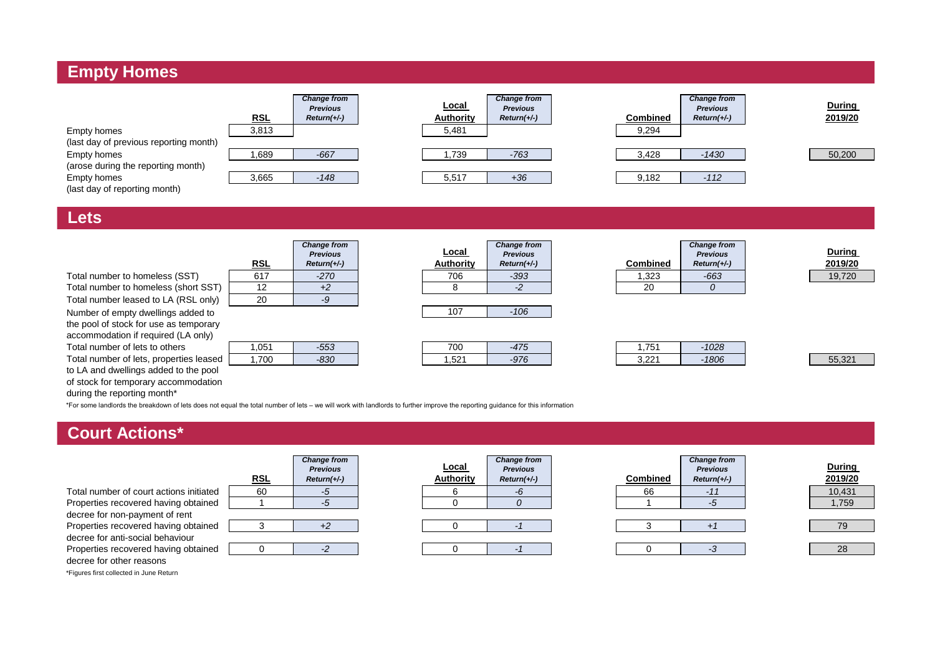## **Empty Homes**



#### **Lets**

|                                        |            | <b>Change from</b><br><b>Previous</b> | Local            | <b>Change from</b><br><b>Previous</b> |                 | <b>Change from</b><br><b>Previous</b> | <b>During</b> |
|----------------------------------------|------------|---------------------------------------|------------------|---------------------------------------|-----------------|---------------------------------------|---------------|
|                                        | <b>RSL</b> | $Return(+/-)$                         | <b>Authority</b> | $Return(+/-)$                         | <b>Combined</b> | $Return(+/-)$                         | 2019/20       |
| Total number to homeless (SST)         | 617        | $-270$                                | 706              | $-393$                                | 323، ا          | $-663$                                | 19,720        |
| Total number to homeless (short SST)   | 12         | $+2$                                  |                  |                                       | 20              |                                       |               |
| Total number leased to LA (RSL only)   | 20         | -9                                    |                  |                                       |                 |                                       |               |
| Number of empty dwellings added to     |            |                                       | 107              | $-106$                                |                 |                                       |               |
| the pool of stock for use as temporary |            |                                       |                  |                                       |                 |                                       |               |
| accommodation if required (LA only)    |            |                                       |                  |                                       |                 |                                       |               |
| Total number of lets to others         | 051.،      | $-553$                                | 700              | -475                                  | 1.751           | $-1028$                               |               |

| Total number of lets to others          | 1.05 |
|-----------------------------------------|------|
| Total number of lets, properties leased | 1,70 |
| to LA and dwellings added to the pool   |      |
| of stock for temporary accommodation    |      |

| RSL | <b>Previous</b><br>$Return(+/-)$ |
|-----|----------------------------------|
| 617 | $-270$                           |
| 12  | $+2$                             |
| 20  |                                  |
|     |                                  |

|    | 1,051 |  |
|----|-------|--|
| эd | 1 7M  |  |

| Local<br><b>Authority</b> | <b>Change from</b><br><b>Previous</b><br>$Return(+/-)$ | <b>Combined</b> |
|---------------------------|--------------------------------------------------------|-----------------|
| 706                       | $-393$                                                 | 1,323           |
|                           |                                                        | 20              |
|                           |                                                        |                 |
|                           | $-106$                                                 |                 |

| 1,051 | E E Q<br>ာသ | 700  | $1 - r$<br>-4 | 751<br>ں ،      | <b>UZC</b> |
|-------|-------------|------|---------------|-----------------|------------|
| 1,700 | റാറ<br>-ರವರ | ,521 | $-976$        | 0.001<br>ا عے,ب | 806        |

| <b>Change from</b><br><b>Previous</b> |  |  |
|---------------------------------------|--|--|
| $Return(+/-)$                         |  |  |
| -663                                  |  |  |
|                                       |  |  |
|                                       |  |  |

| Durina  |
|---------|
| 2019/20 |
| 19.720  |

| 1,051 | $-553$        | 700               | $1 - r$<br>$-4/2$ | .751          | 1028 |        |
|-------|---------------|-------------------|-------------------|---------------|------|--------|
| 1,700 | റാറ<br>$-030$ | $E^{0.4}$<br>'∆c∴ | $-976$            | 2.221<br>ے۔ ت | 1806 | 55.321 |

**During 2019/20**

\*For some landlords the breakdown of lets does not equal the total number of lets – we will work with landlords to further improve the reporting guidance for this information during the reporting month\*

### **Court Actions\***

| Total number of court actions initiated |
|-----------------------------------------|
| Properties recovered having obtained    |
| decree for non-payment of rent          |
| Properties recovered having obtained    |
| decree for anti-social behaviour        |
| Properties recovered having obtained    |
| decree for other reasons                |



| Local<br><b>Authority</b> | <b>Change from</b><br><b>Previous</b><br>$Return(+/-)$ | Combined |
|---------------------------|--------------------------------------------------------|----------|
|                           |                                                        | 66       |
|                           |                                                        |          |
|                           |                                                        |          |
|                           |                                                        |          |
|                           |                                                        |          |
|                           |                                                        |          |

| <u>\SL</u> | <b>Change from</b><br><b>Previous</b><br>$Return(+/-)$ | <u>Local</u><br><b>Authority</b> | <b>Change from</b><br><b>Previous</b><br>$Return(+/-)$ | <b>Combined</b> | <b>Change from</b><br><b>Previous</b><br>$Return(+/-)$ | During<br>2019/20 |
|------------|--------------------------------------------------------|----------------------------------|--------------------------------------------------------|-----------------|--------------------------------------------------------|-------------------|
| 60         |                                                        |                                  | -r                                                     | 66              | - 1                                                    | 10,431            |
|            |                                                        |                                  |                                                        |                 |                                                        | 1,759             |
|            |                                                        |                                  |                                                        |                 |                                                        |                   |
| ົ          |                                                        |                                  |                                                        |                 |                                                        | 79                |
|            |                                                        |                                  |                                                        |                 |                                                        |                   |
|            |                                                        |                                  |                                                        |                 |                                                        | 28                |

\*Figures first collected in June Return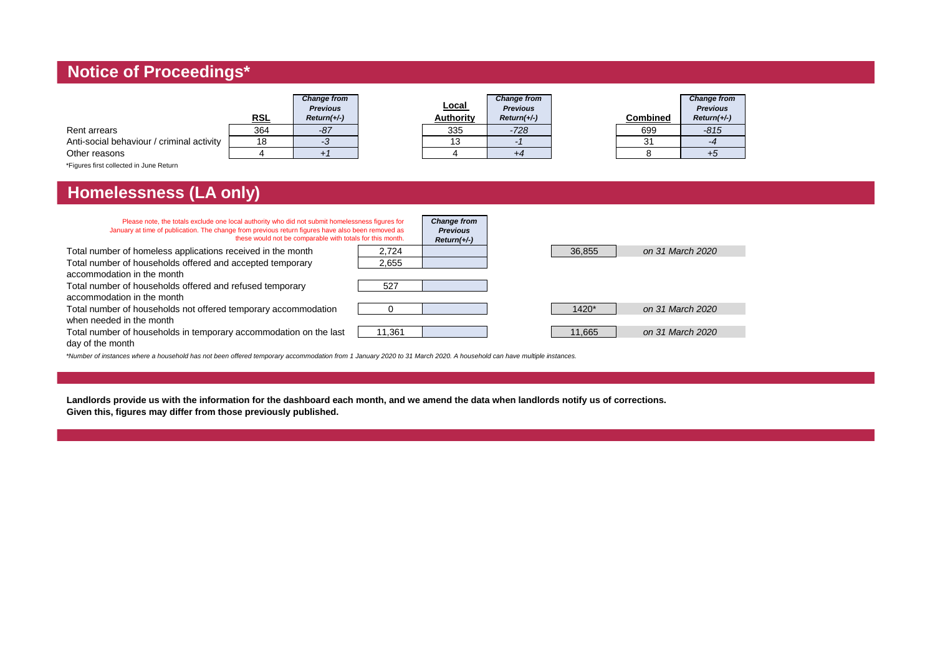## **Notice of Proceedings\***

|                                           | <b>RSL</b> | <b>Change from</b><br><b>Previous</b><br>$Return(+/-)$ | Local<br><b>Authority</b> | <b>Change from</b><br><b>Previous</b><br>$Return(+/-)$ | <b>Combined</b> | <b>Change from</b><br><b>Previous</b><br>$Return(+/-)$ |
|-------------------------------------------|------------|--------------------------------------------------------|---------------------------|--------------------------------------------------------|-----------------|--------------------------------------------------------|
| Rent arrears                              | 364        | $-87$                                                  | 335                       | $-728$                                                 | 699             | $-815$                                                 |
| Anti-social behaviour / criminal activity | 18         |                                                        | 13                        |                                                        | 31              | -4                                                     |
| Other reasons                             |            |                                                        |                           |                                                        |                 | +υ                                                     |
| *Figures first collected in June Return   |            |                                                        |                           |                                                        |                 |                                                        |

## **Homelessness (LA only)**

| Please note, the totals exclude one local authority who did not submit homelessness figures for<br>January at time of publication. The change from previous return figures have also been removed as<br>these would not be comparable with totals for this month. |        | <b>Change from</b><br><b>Previous</b><br>$Return(+/-)$ |        |                  |
|-------------------------------------------------------------------------------------------------------------------------------------------------------------------------------------------------------------------------------------------------------------------|--------|--------------------------------------------------------|--------|------------------|
| Total number of homeless applications received in the month                                                                                                                                                                                                       | 2.724  |                                                        | 36,855 | on 31 March 2020 |
| Total number of households offered and accepted temporary                                                                                                                                                                                                         | 2,655  |                                                        |        |                  |
| accommodation in the month                                                                                                                                                                                                                                        |        |                                                        |        |                  |
| Total number of households offered and refused temporary                                                                                                                                                                                                          | 527    |                                                        |        |                  |
| accommodation in the month                                                                                                                                                                                                                                        |        |                                                        |        |                  |
| Total number of households not offered temporary accommodation                                                                                                                                                                                                    |        |                                                        | 1420*  | on 31 March 2020 |
| when needed in the month                                                                                                                                                                                                                                          |        |                                                        |        |                  |
| Total number of households in temporary accommodation on the last                                                                                                                                                                                                 | 11.361 |                                                        | 11,665 | on 31 March 2020 |
| day of the month                                                                                                                                                                                                                                                  |        |                                                        |        |                  |

*\*Number of instances where a household has not been offered temporary accommodation from 1 January 2020 to 31 March 2020. A household can have multiple instances.*

**Landlords provide us with the information for the dashboard each month, and we amend the data when landlords notify us of corrections. Given this, figures may differ from those previously published.**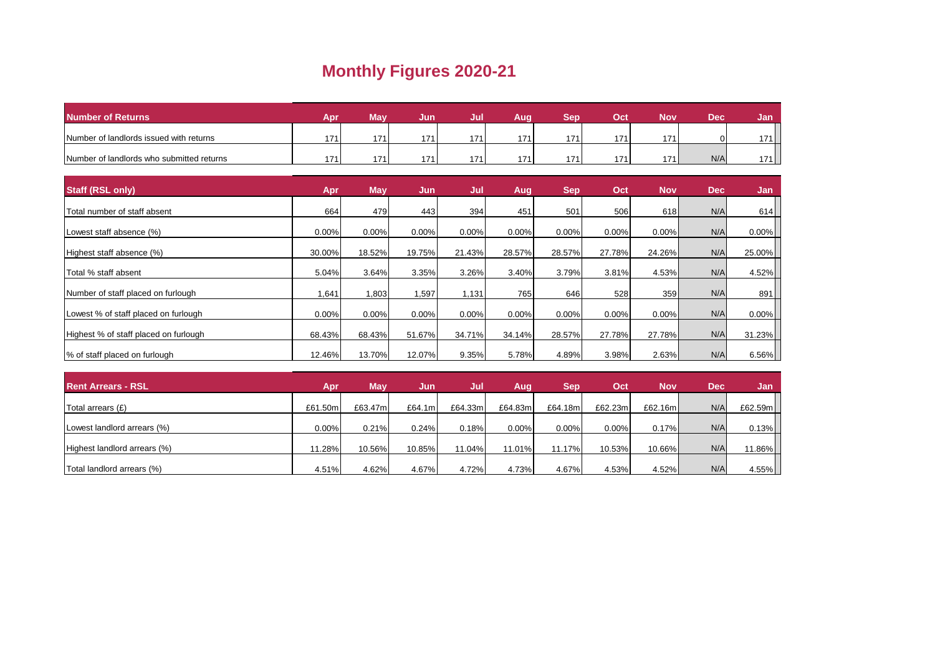## **Monthly Figures 2020-21**

| Number of Returns                         | Apr | Mav | Jun        | Jul | Aug | Ser | Oct | Nov | Dec <sup>1</sup> | Jan.    |
|-------------------------------------------|-----|-----|------------|-----|-----|-----|-----|-----|------------------|---------|
| Number of landlords issued with returns   | 171 | 171 | 171        | 171 | 17  | 17' | 171 | 171 | $\Omega$         |         |
| Number of landlords who submitted returns | 171 | 171 | 17 $\cdot$ | 171 | 17' | 171 | 171 | 171 | N/A              | $'71$ . |

| <b>Staff (RSL only)</b>               | Apr    | <b>May</b> | Jun      | Jul    | Aug      | <b>Sep</b> | Oct      | <b>Nov</b> | <b>Dec</b> | Jan      |
|---------------------------------------|--------|------------|----------|--------|----------|------------|----------|------------|------------|----------|
| Total number of staff absent          | 664    | 479        | 443      | 394    | 451      | 501        | 506      | 618        | N/A        | 614      |
| Lowest staff absence (%)              | 0.00%  | 0.00%      | 0.00%    | 0.00%  | 0.00%    | 0.00%      | 0.00%    | 0.00%      | N/A        | $0.00\%$ |
| Highest staff absence (%)             | 30.00% | 18.52%     | 19.75%   | 21.43% | 28.57%   | 28.57%     | 27.78%   | 24.26%     | N/A        | 25.00%   |
| Total % staff absent                  | 5.04%  | 3.64%      | 3.35%    | 3.26%  | 3.40%    | 3.79%      | 3.81%    | 4.53%      | N/A        | 4.52%    |
| Number of staff placed on furlough    | 1,641  | 1,803      | .597     | 1,131  | 765      | 646        | 528      | 359        | N/A        | 891      |
| Lowest % of staff placed on furlough  | 0.00%  | 0.00%      | $0.00\%$ | 0.00%  | $0.00\%$ | 0.00%      | $0.00\%$ | 0.00%      | N/A        | $0.00\%$ |
| Highest % of staff placed on furlough | 68.43% | 68.43%     | 51.67%   | 34.71% | 34.14%   | 28.57%     | 27.78%   | 27.78%     | N/A        | 31.23%   |
| % of staff placed on furlough         | 12.46% | 13.70%     | 12.07%   | 9.35%  | 5.78%    | 4.89%      | 3.98%    | 2.63%      | N/A        | 6.56%    |

| <b>Rent Arrears - RSL</b>    | Apr      | <b>May</b> | Jun     | Jul     | Aug      | <b>Sep</b> | Oct     | <b>Nov</b> | <b>Dec</b> | Jan     |
|------------------------------|----------|------------|---------|---------|----------|------------|---------|------------|------------|---------|
| Total arrears (£)            | £61.50m  | £63.47m    | £64.1ml | £64.33m | £64.83m  | £64.18m    | £62.23m | £62.16m    | N/A        | £62.59m |
| Lowest landlord arrears (%)  | $0.00\%$ | 0.21%      | 0.24%   | 0.18%   | $0.00\%$ | 0.00%      | 0.00%   | 0.17%      | N/A        | 0.13%   |
| Highest landlord arrears (%) | 11.28%   | 10.56%     | 10.85%  | 11.04%  | 11.01%   | 11.17%     | 10.53%  | 10.66%I    | N/A        | 11.86%  |
| Total landlord arrears (%)   | 4.51%    | 4.62%      | 4.67%   | 4.72%   | 4.73%    | 4.67%      | 4.53%   | 4.52%      | N/A        | 4.55%   |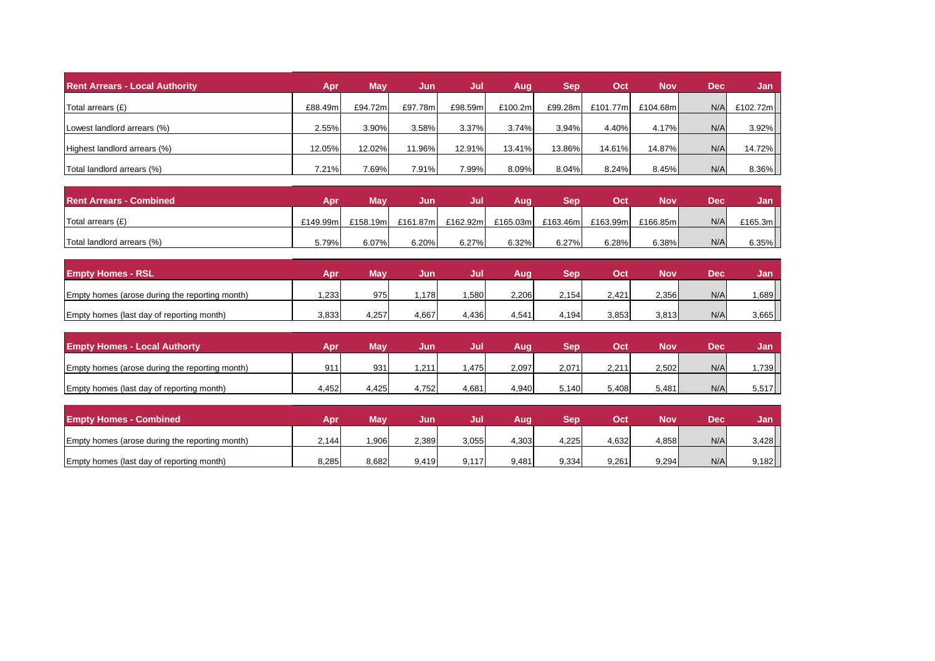| <b>Rent Arrears - Local Authority</b> | Apr     | May     | Jun.    | /Jul    | Aug      | <b>Sep</b> | Oct      | <b>Nov</b> | <b>Dec</b> | Jan      |
|---------------------------------------|---------|---------|---------|---------|----------|------------|----------|------------|------------|----------|
| Total arrears $(E)$                   | £88.49m | £94.72m | £97.78m | £98.59m | £100.2m  | £99.28m    | £101.77m | £104.68ml  | N/A        | £102.72m |
| Lowest landlord arrears (%)           | 2.55%   | 3.90%   | 3.58%   | 3.37%   | 3.74%    | 3.94%      | 4.40%    | 4.17%      | N/A        | 3.92%    |
| Highest landlord arrears (%)          | 12.05%  | 12.02%  | 11.96%  | 12.91%  | 13.41%   | 13.86%     | 14.61%   | 14.87%     | N/A        | 14.72%   |
| Total landlord arrears (%)            | 7.21%   | 7.69%   | 7.91%   | 7.99%   | $8.09\%$ | 8.04%      | 8.24%    | 8.45%      | N/A        | 8.36%    |

| <b>Rent Arrears - Combined</b> | Apr      | <b>May</b> | Jun      | Uul      | Auq      | Ser      | Oct      | Nov       | Dec | Jan      |
|--------------------------------|----------|------------|----------|----------|----------|----------|----------|-----------|-----|----------|
| Total arrears (£)              | £149.99m | £158.19m   | £161.87m | £162.92m | £165.03m | £163.46m | £163.99m | £166.85ml | N/A | £165.3m  |
| Total landlord arrears (%)     | 5.79%    | 6.07%      | 6.20%    | 6.27%    | 6.32%    | 6.27%    | 6.28%    | 6.38%     | N/A | $6.35\%$ |

| <b>Empty Homes - RSL</b>                       | Anı   | Mav   | Jun   | Jul   | Aug   | Ser   | Ocl   | No۱   | <b>Dec</b> | Jan.  |
|------------------------------------------------|-------|-------|-------|-------|-------|-------|-------|-------|------------|-------|
| Empty homes (arose during the reporting month) | .233  | 975   | .178  | .580  | 2.206 | 2.154 | 2.421 | 2,356 | N/A        | .689  |
| Empty homes (last day of reporting month)      | 3,833 | 4,257 | 4,667 | 4,436 | 4,541 | 4,194 | 3,853 | 3,813 | N/A        | 3,665 |

| <b>Empty Homes - Local Authorty</b>            |       | Mav   | Jun   | Jul   | Aug   |       | Oct   | Nov   | Dec | Jan   |
|------------------------------------------------|-------|-------|-------|-------|-------|-------|-------|-------|-----|-------|
| Empty homes (arose during the reporting month) | $Q_1$ | 931   | .211  | .475  | 2.097 | 2,071 | 2.211 | 2,502 | N/A | .739  |
| Empty homes (last day of reporting month)      | 4,452 | 4.425 | 4,752 | 4,681 | 4,940 | 5.140 | 5.408 | 5.481 | N/A | 5,517 |

| <b>Empty Homes - Combined</b>                  | Apr   | Mav   | Jun   | Jul   | Auq   | Sep   | Oct   | Nov   | Dec | <b>Jan</b> |
|------------------------------------------------|-------|-------|-------|-------|-------|-------|-------|-------|-----|------------|
| Empty homes (arose during the reporting month) | 2.144 | ,906  | 2,389 | 3,055 | 4,303 | 4.225 | 4,632 | 4,858 | N/A | 3,428      |
| Empty homes (last day of reporting month)      | 8,285 | 8,682 | 9.419 | 9,117 | 9,481 | 9,334 | 9,261 | 9,294 | N/A | 9,182      |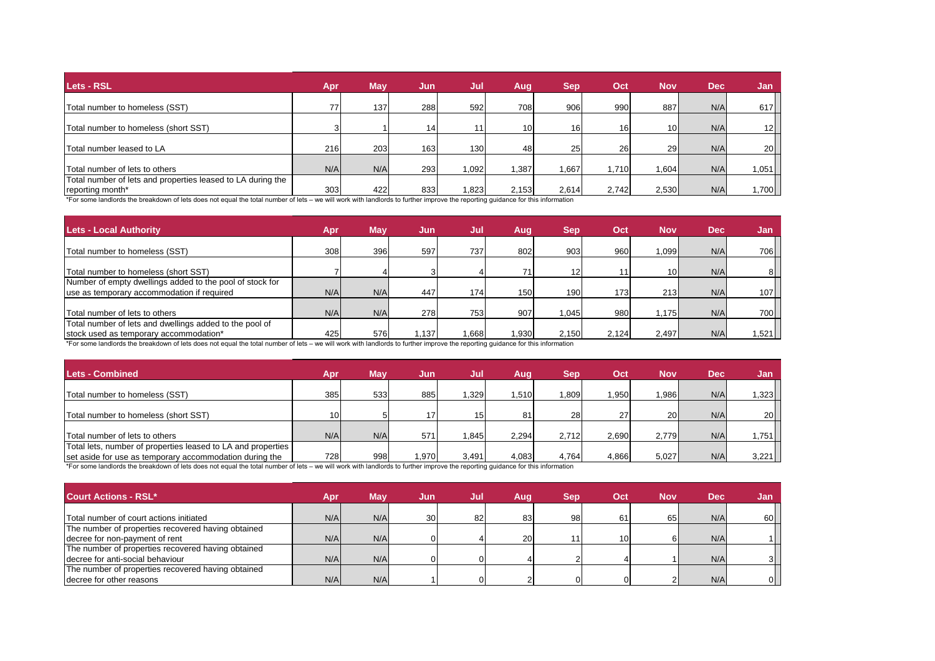| Lets - RSL                                                                                                                                                                     | Apr        | <b>May</b> | Jun | Jul   | Aug.            | <b>Sep</b> | Oct   | <b>Nov</b>      | <b>Dec</b> | Jan             |
|--------------------------------------------------------------------------------------------------------------------------------------------------------------------------------|------------|------------|-----|-------|-----------------|------------|-------|-----------------|------------|-----------------|
|                                                                                                                                                                                |            |            |     |       |                 |            |       |                 |            |                 |
| Total number to homeless (SST)                                                                                                                                                 | 77         | 137        | 288 | 592   | 708             | 906        | 990   | 887             | N/A        | 617             |
|                                                                                                                                                                                |            |            |     |       |                 |            |       |                 |            |                 |
| Total number to homeless (short SST)                                                                                                                                           | 3          |            | 14  | 111   | 10 <sup>1</sup> | 16         | 16    | 10 <sup>1</sup> | N/A        | 12              |
|                                                                                                                                                                                |            |            |     |       |                 |            |       |                 |            |                 |
| Total number leased to LA                                                                                                                                                      | <b>216</b> | 203        | 163 | 130   | 48              | 25         | 26    | 29              | N/A        | 20 <sub>l</sub> |
|                                                                                                                                                                                |            |            |     |       |                 |            |       |                 |            |                 |
| Total number of lets to others                                                                                                                                                 | N/A        | N/A        | 293 | 1.092 | .387            | 1.667      | 1.710 | 1.6041          | N/A        | 1,051           |
| Total number of lets and properties leased to LA during the                                                                                                                    |            |            |     |       |                 |            |       |                 |            |                 |
| reporting month*                                                                                                                                                               | 303        | 422        | 833 | 1.823 | 2.153           | 2.614      | 2.742 | 2,530           | N/A        | 1,700           |
| *For some landlords the breakdown of lets does not equal the total number of lets – we will work with landlords to further improve the reporting quidance for this information |            |            |     |       |                 |            |       |                 |            |                 |

| <b>Lets - Local Authority</b>                            | Apr | <b>May</b> | Jun  | Jul   | Aug   | <b>Sep</b> | Oct              | <b>Nov</b>       | <b>Dec</b> | /Jan   |
|----------------------------------------------------------|-----|------------|------|-------|-------|------------|------------------|------------------|------------|--------|
| Total number to homeless (SST)                           | 308 | 396        | 597  | 737   | 802   | 903        | 960              | 1,099            | N/A        | 706    |
|                                                          |     |            |      |       |       |            |                  |                  |            |        |
| Total number to homeless (short SST)                     |     |            |      |       | 71    | 121        | 11               | 10 <sup>1</sup>  | N/A        | 81     |
| Number of empty dwellings added to the pool of stock for |     |            |      |       |       |            |                  |                  |            |        |
| use as temporary accommodation if required               | N/A | N/A        | 447  | 174   | 150   | 190        | 173 <sub>1</sub> | 213 <sub>I</sub> | N/A        | 107    |
|                                                          |     |            |      |       |       |            |                  |                  |            |        |
| Total number of lets to others                           | N/A | N/A        | 278  | 753   | 907   | 1.045      | 980              | 1.175            | N/A        | 700    |
| Total number of lets and dwellings added to the pool of  |     |            |      |       |       |            |                  |                  |            |        |
| stock used as temporary accommodation*                   | 425 | 576        | .137 | 1.668 | 1.930 | 2.150      | 2,124            | 2.497            | N/A        | $,521$ |

\*For some landlords the breakdown of lets does not equal the total number of lets – we will work with landlords to further improve the reporting guidance for this information

| <b>Lets - Combined</b>                                                                                                                                                                                                                  | Apr             | Mav | Jun   | Jul   | Aug   | <b>Sep</b> | Oct   | <b>Nov</b> | <b>Dec</b> | 'Jan.   |
|-----------------------------------------------------------------------------------------------------------------------------------------------------------------------------------------------------------------------------------------|-----------------|-----|-------|-------|-------|------------|-------|------------|------------|---------|
| Total number to homeless (SST)                                                                                                                                                                                                          | 385             | 533 | 885   | .329  | 1.510 | 1,809      | .950  | 1,986      | N/A        | .323    |
| Total number to homeless (short SST)                                                                                                                                                                                                    | 10 <sup>1</sup> |     | 17    | 15    | 81    | 28         | 27    | <b>20</b>  | N/A        | 20      |
| Total number of lets to others                                                                                                                                                                                                          | N/A             | N/A | 571   | .845  | 2.294 | 2.712      | 2.690 | 2.779      | N/A        | ,751    |
| Total lets, number of properties leased to LA and properties                                                                                                                                                                            |                 |     |       |       |       |            |       |            |            |         |
| set aside for use as temporary accommodation during the<br>*For some landlards the breakdown of lets does not equal the total number of lets we will work with landlards to further improve the reporting quidance for this information | 728             | 998 | 1.970 | 3.491 | 4.083 | 4.764      | 4,866 | 5.027      | N/A        | $3,221$ |

\*For some landlords the breakdown of lets does not equal the total number of lets – we will work with landlords to further improve the reporting guidance for this information

| Court Actions - RSL*                               | Apr | <b>May</b> | Jun | Jul | Aug       | <b>Sep</b> | /Oct | <b>Nov</b> | <b>Dec</b> | Jan            |
|----------------------------------------------------|-----|------------|-----|-----|-----------|------------|------|------------|------------|----------------|
| Total number of court actions initiated            | N/A | N/A        | 30  | 82  | 83        | 98         | 61   | 65         | N/A        | 60             |
| The number of properties recovered having obtained |     |            |     |     |           |            |      |            |            |                |
| decree for non-payment of rent                     | N/A | N/A        |     |     | <b>20</b> |            | 10   |            | N/A        |                |
| The number of properties recovered having obtained |     |            |     |     |           |            |      |            |            |                |
| decree for anti-social behaviour                   | N/A | N/A        |     |     |           |            |      |            | N/A        | 3I.            |
| The number of properties recovered having obtained |     |            |     |     |           |            |      |            |            |                |
| I decree for other reasons                         | N/A | N/A        |     |     |           |            |      |            | N/A        | $\overline{0}$ |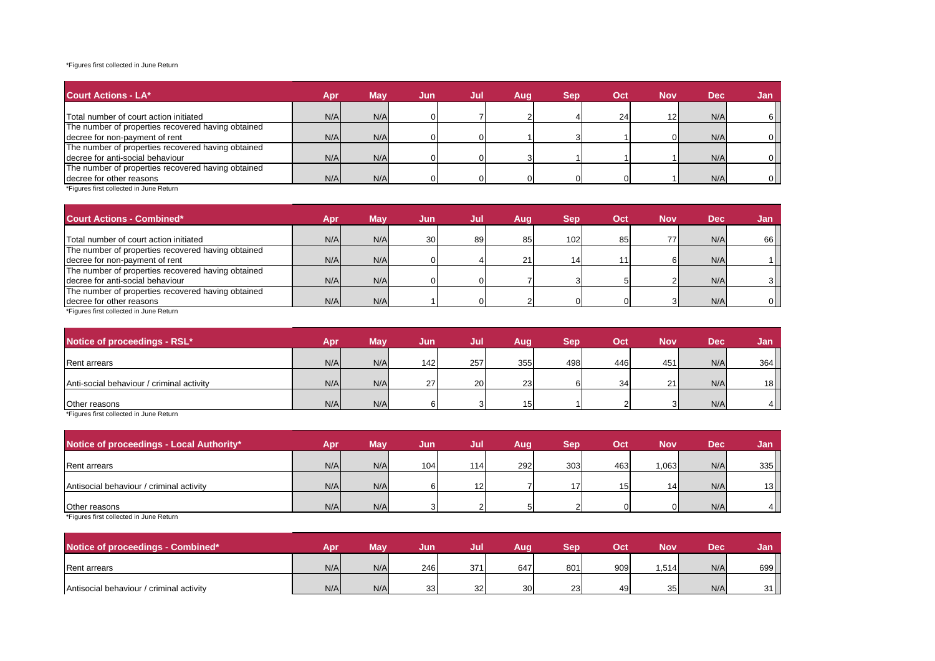#### \*Figures first collected in June Return

| <b>Court Actions - LA*</b>                         | Apr | Mav | <b>Jun</b> | Jul | Aug | Sep. | Oct | <b>Nov</b>      | <b>Dec</b> | Jan |
|----------------------------------------------------|-----|-----|------------|-----|-----|------|-----|-----------------|------------|-----|
| Total number of court action initiated             | N/A | N/A |            |     |     |      | 24  | 12 <sub>l</sub> | N/A        |     |
| The number of properties recovered having obtained |     |     |            |     |     |      |     |                 |            |     |
| decree for non-payment of rent                     | N/A | N/A |            |     |     |      |     |                 | N/A        |     |
| The number of properties recovered having obtained |     |     |            |     |     |      |     |                 |            |     |
| decree for anti-social behaviour                   | N/A | N/A |            |     |     |      |     |                 | N/A        | 01  |
| The number of properties recovered having obtained |     |     |            |     |     |      |     |                 |            |     |
| decree for other reasons                           | N/A | N/A |            |     | 0   |      |     |                 | N/A        | ΩI  |

\*Figures first collected in June Return

| <b>Court Actions - Combined*</b>                   | Apr | <b>May</b> | Jun | Jul | Auq | <b>Sep</b>      | Oct | <b>Nov</b>   | <b>Dec</b> | /Jan |
|----------------------------------------------------|-----|------------|-----|-----|-----|-----------------|-----|--------------|------------|------|
| Total number of court action initiated             | N/A | N/A        | 30  | 89  | 85  | 102             | 85  | 77           | N/A        | 66   |
| The number of properties recovered having obtained |     |            |     |     |     |                 |     |              |            |      |
| decree for non-payment of rent                     | N/A | N/A        |     |     | 21  | 14 <sub>1</sub> |     | 61           | N/A        |      |
| The number of properties recovered having obtained |     |            |     |     |     |                 |     |              |            |      |
| decree for anti-social behaviour                   | N/A | N/A        |     |     |     |                 |     | $\sim$       | N/A        |      |
| The number of properties recovered having obtained |     |            |     |     |     |                 |     |              |            |      |
| decree for other reasons                           | N/A | N/A        |     |     |     |                 |     | $\mathbf{c}$ | N/A        | 01   |

\*Figures first collected in June Return

| Notice of proceedings - RSL*              | Apr | Mav | Jun | Jul       | Aug | Sep | Oct | <b>Nov</b> | <b>Dec</b> | <b>Jan</b>     |
|-------------------------------------------|-----|-----|-----|-----------|-----|-----|-----|------------|------------|----------------|
| <b>Rent arrears</b>                       | N/A | N/A | 142 | 257       | 355 | 498 | 446 | 451        | N/A        | 364            |
| Anti-social behaviour / criminal activity | N/A | N/A | 27  | <b>20</b> | 23  |     | 34  | 21         | N/A        | 18             |
| Other reasons                             | N/A | N/A |     | ິ         | 15  |     |     |            | N/A        | 4 <sup>1</sup> |

\*Figures first collected in June Return

| Notice of proceedings - Local Authority* | Apr | May | Jun | Jul | Aug | Sep    | Oct | <b>Nov</b>     | <b>Dec</b> | <b>Jan</b> |
|------------------------------------------|-----|-----|-----|-----|-----|--------|-----|----------------|------------|------------|
|                                          |     |     |     |     |     |        |     |                |            |            |
| <b>Rent arrears</b>                      | N/A | N/A | 104 | 114 | 292 | 303    | 463 | 1,063          | N/A        | 335        |
|                                          |     |     |     |     |     |        |     |                |            |            |
| Antisocial behaviour / criminal activity | N/A | N/A |     | 12  |     | 17     | 15  | 14             | N/A        | 13         |
|                                          |     |     |     |     |     |        |     |                |            |            |
| Other reasons                            | N/A | N/A | J   |     |     | $\sim$ | 01  | $\overline{0}$ | N/A        | 4          |

\*Figures first collected in June Return

| Notice of proceedings - Combined*        | Ani | Mav | Jun | Jul       | Aug | Ser | Oct | Nov             | <b>Dec</b> | Jan |
|------------------------------------------|-----|-----|-----|-----------|-----|-----|-----|-----------------|------------|-----|
| <b>Rent arrears</b>                      | N/A | N/A | 246 | 371       | 647 | 801 | 909 | .514            | N/A        | 699 |
| Antisocial behaviour / criminal activity | N/A | N/A | 33  | 32.<br>ےں | 30  | 23  | 49  | 35 <sub>l</sub> | N/A        | 31  |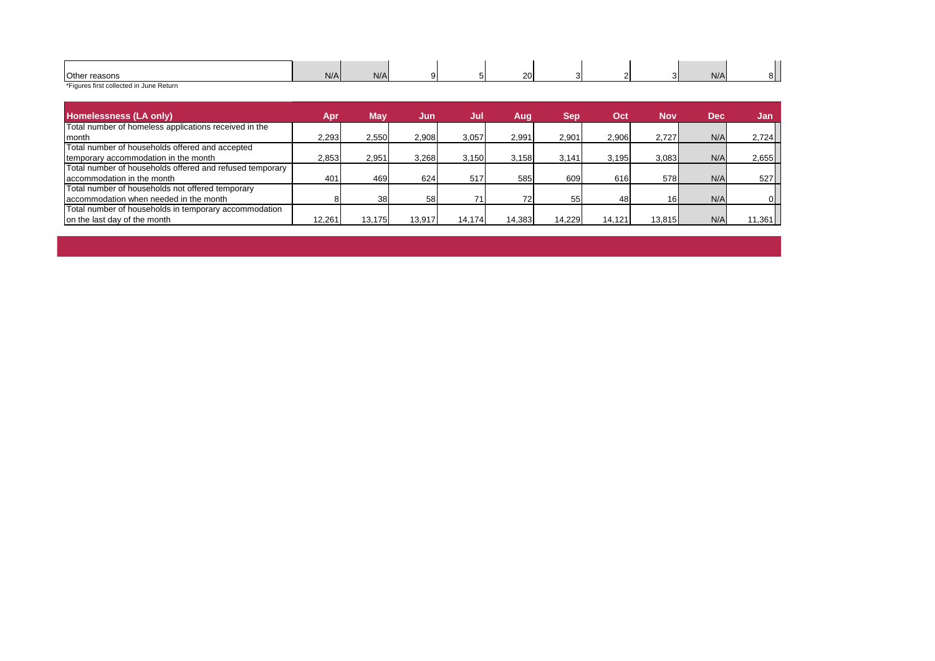| Other reasons | N/A | N/A |  | 20 | ~ |  | N/A |  |
|---------------|-----|-----|--|----|---|--|-----|--|
| $\sim$        |     |     |  |    |   |  |     |  |

\*Figures first collected in June Return

| <b>Homelessness (LA only)</b>                            | Apr    | <b>May</b> | Jun    | Jul    | Aug    | <b>Sep</b> | 'Oct   | <b>Nov</b>      | <b>Dec</b> | Jan    |
|----------------------------------------------------------|--------|------------|--------|--------|--------|------------|--------|-----------------|------------|--------|
| Total number of homeless applications received in the    |        |            |        |        |        |            |        |                 |            |        |
| <b>I</b> month                                           | 2,293  | 2,550      | 2.908  | 3.057  | 2.991  | 2.901      | 2.906  | 2.727           | N/A        | 2,724  |
| Total number of households offered and accepted          |        |            |        |        |        |            |        |                 |            |        |
| temporary accommodation in the month                     | 2,853  | 2,951      | 3,268  | 3,150  | 3,158  | 3.141      | 3,195  | 3,083           | N/A        | 2,655  |
| Total number of households offered and refused temporary |        |            |        |        |        |            |        |                 |            |        |
| accommodation in the month                               | 401    | 469        | 624    | 517    | 585    | 609        | 616    | 578             | N/A        | 527    |
| Total number of households not offered temporary         |        |            |        |        |        |            |        |                 |            |        |
| accommodation when needed in the month                   |        | 38         | 58     | 71     |        | 55         | 48     | 16 <sub>1</sub> | N/A        | ΩI     |
| Total number of households in temporary accommodation    |        |            |        |        |        |            |        |                 |            |        |
| on the last day of the month                             | 12.261 | 13.175     | 13.917 | 14.174 | 14.383 | 14.229     | 14.121 | 13.815          | N/A        | 11,361 |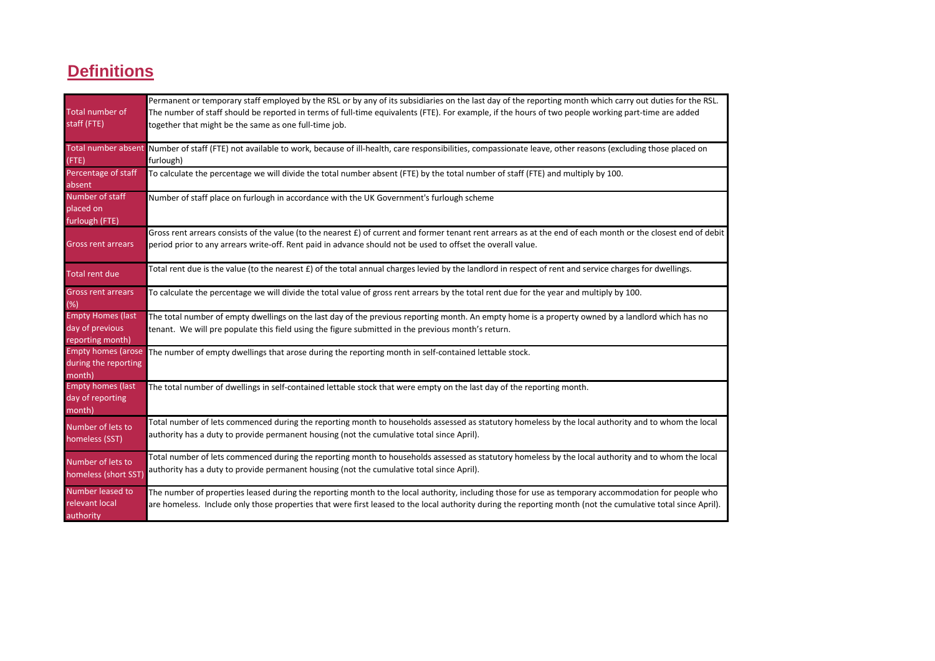## **Definitions**

| Total number of<br>staff (FTE)                                  | Permanent or temporary staff employed by the RSL or by any of its subsidiaries on the last day of the reporting month which carry out duties for the RSL.<br>The number of staff should be reported in terms of full-time equivalents (FTE). For example, if the hours of two people working part-time are added<br>together that might be the same as one full-time job.<br>Total number absent Number of staff (FTE) not available to work, because of ill-health, care responsibilities, compassionate leave, other reasons (excluding those placed on |
|-----------------------------------------------------------------|-----------------------------------------------------------------------------------------------------------------------------------------------------------------------------------------------------------------------------------------------------------------------------------------------------------------------------------------------------------------------------------------------------------------------------------------------------------------------------------------------------------------------------------------------------------|
| $($ FTE)                                                        | furlough)                                                                                                                                                                                                                                                                                                                                                                                                                                                                                                                                                 |
| Percentage of staff<br>absent                                   | To calculate the percentage we will divide the total number absent (FTE) by the total number of staff (FTE) and multiply by 100.                                                                                                                                                                                                                                                                                                                                                                                                                          |
| Number of staff<br>placed on<br>furlough (FTE)                  | Number of staff place on furlough in accordance with the UK Government's furlough scheme                                                                                                                                                                                                                                                                                                                                                                                                                                                                  |
| <b>Gross rent arrears</b>                                       | Gross rent arrears consists of the value (to the nearest £) of current and former tenant rent arrears as at the end of each month or the closest end of debit<br>period prior to any arrears write-off. Rent paid in advance should not be used to offset the overall value.                                                                                                                                                                                                                                                                              |
| Total rent due                                                  | Total rent due is the value (to the nearest £) of the total annual charges levied by the landlord in respect of rent and service charges for dwellings.                                                                                                                                                                                                                                                                                                                                                                                                   |
| <b>Gross rent arrears</b><br>(%)                                | To calculate the percentage we will divide the total value of gross rent arrears by the total rent due for the year and multiply by 100.                                                                                                                                                                                                                                                                                                                                                                                                                  |
| <b>Empty Homes (last</b><br>day of previous<br>reporting month) | The total number of empty dwellings on the last day of the previous reporting month. An empty home is a property owned by a landlord which has no<br>tenant. We will pre populate this field using the figure submitted in the previous month's return.                                                                                                                                                                                                                                                                                                   |
| during the reporting<br>month)                                  | Empty homes (arose The number of empty dwellings that arose during the reporting month in self-contained lettable stock.                                                                                                                                                                                                                                                                                                                                                                                                                                  |
| Empty homes (last<br>day of reporting<br>month)                 | The total number of dwellings in self-contained lettable stock that were empty on the last day of the reporting month.                                                                                                                                                                                                                                                                                                                                                                                                                                    |
| Number of lets to<br>homeless (SST)                             | Total number of lets commenced during the reporting month to households assessed as statutory homeless by the local authority and to whom the local<br>authority has a duty to provide permanent housing (not the cumulative total since April).                                                                                                                                                                                                                                                                                                          |
| Number of lets to<br>homeless (short SST)                       | Total number of lets commenced during the reporting month to households assessed as statutory homeless by the local authority and to whom the local<br>authority has a duty to provide permanent housing (not the cumulative total since April).                                                                                                                                                                                                                                                                                                          |
| Number leased to<br>relevant local<br>authority                 | The number of properties leased during the reporting month to the local authority, including those for use as temporary accommodation for people who<br>are homeless. Include only those properties that were first leased to the local authority during the reporting month (not the cumulative total since April).                                                                                                                                                                                                                                      |